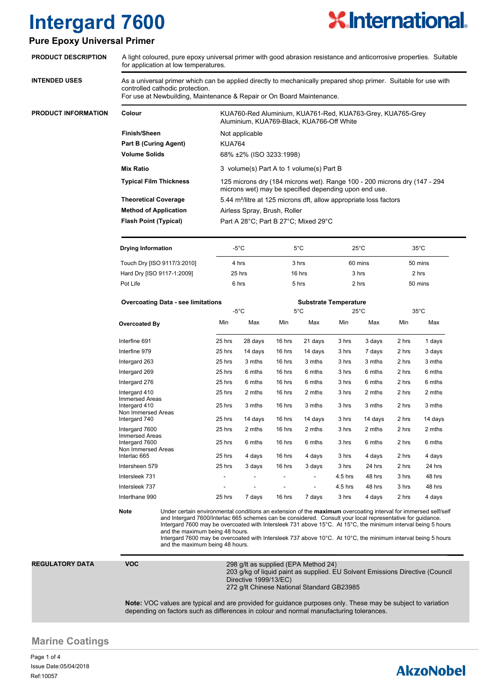

### **Pure Epoxy Universal Primer**

| <b>PRODUCT DESCRIPTION</b> |                                                                                                                                                                                                                                                                                                                                                                                                                                                                                                                                                   | A light coloured, pure epoxy universal primer with good abrasion resistance and anticorrosive properties. Suitable<br>for application at low temperatures.                                                                                                                                                         |                         |                                                                                                                                    |                              |                  |                |                  |                |                  |  |
|----------------------------|---------------------------------------------------------------------------------------------------------------------------------------------------------------------------------------------------------------------------------------------------------------------------------------------------------------------------------------------------------------------------------------------------------------------------------------------------------------------------------------------------------------------------------------------------|--------------------------------------------------------------------------------------------------------------------------------------------------------------------------------------------------------------------------------------------------------------------------------------------------------------------|-------------------------|------------------------------------------------------------------------------------------------------------------------------------|------------------------------|------------------|----------------|------------------|----------------|------------------|--|
| <b>INTENDED USES</b>       | As a universal primer which can be applied directly to mechanically prepared shop primer. Suitable for use with<br>controlled cathodic protection.<br>For use at Newbuilding, Maintenance & Repair or On Board Maintenance.                                                                                                                                                                                                                                                                                                                       |                                                                                                                                                                                                                                                                                                                    |                         |                                                                                                                                    |                              |                  |                |                  |                |                  |  |
| PRODUCT INFORMATION        | Colour                                                                                                                                                                                                                                                                                                                                                                                                                                                                                                                                            |                                                                                                                                                                                                                                                                                                                    |                         | KUA760-Red Aluminium, KUA761-Red, KUA763-Grey, KUA765-Grey<br>Aluminium, KUA769-Black, KUA766-Off White                            |                              |                  |                |                  |                |                  |  |
|                            | <b>Finish/Sheen</b>                                                                                                                                                                                                                                                                                                                                                                                                                                                                                                                               |                                                                                                                                                                                                                                                                                                                    |                         | Not applicable                                                                                                                     |                              |                  |                |                  |                |                  |  |
|                            |                                                                                                                                                                                                                                                                                                                                                                                                                                                                                                                                                   | <b>Part B (Curing Agent)</b>                                                                                                                                                                                                                                                                                       |                         | <b>KUA764</b>                                                                                                                      |                              |                  |                |                  |                |                  |  |
|                            | <b>Volume Solids</b>                                                                                                                                                                                                                                                                                                                                                                                                                                                                                                                              |                                                                                                                                                                                                                                                                                                                    | 68% ±2% (ISO 3233:1998) |                                                                                                                                    |                              |                  |                |                  |                |                  |  |
|                            |                                                                                                                                                                                                                                                                                                                                                                                                                                                                                                                                                   | <b>Mix Ratio</b>                                                                                                                                                                                                                                                                                                   |                         |                                                                                                                                    |                              |                  |                |                  |                |                  |  |
|                            |                                                                                                                                                                                                                                                                                                                                                                                                                                                                                                                                                   |                                                                                                                                                                                                                                                                                                                    |                         | 3 volume(s) Part A to 1 volume(s) Part B                                                                                           |                              |                  |                |                  |                |                  |  |
|                            |                                                                                                                                                                                                                                                                                                                                                                                                                                                                                                                                                   | <b>Typical Film Thickness</b>                                                                                                                                                                                                                                                                                      |                         | 125 microns dry (184 microns wet). Range 100 - 200 microns dry (147 - 294<br>microns wet) may be specified depending upon end use. |                              |                  |                |                  |                |                  |  |
|                            | <b>Theoretical Coverage</b>                                                                                                                                                                                                                                                                                                                                                                                                                                                                                                                       |                                                                                                                                                                                                                                                                                                                    |                         | 5.44 m <sup>2</sup> /litre at 125 microns dft, allow appropriate loss factors                                                      |                              |                  |                |                  |                |                  |  |
|                            | <b>Method of Application</b>                                                                                                                                                                                                                                                                                                                                                                                                                                                                                                                      |                                                                                                                                                                                                                                                                                                                    |                         | Airless Spray, Brush, Roller                                                                                                       |                              |                  |                |                  |                |                  |  |
|                            |                                                                                                                                                                                                                                                                                                                                                                                                                                                                                                                                                   | <b>Flash Point (Typical)</b><br>Part A 28°C; Part B 27°C; Mixed 29°C                                                                                                                                                                                                                                               |                         |                                                                                                                                    |                              |                  |                |                  |                |                  |  |
|                            |                                                                                                                                                                                                                                                                                                                                                                                                                                                                                                                                                   | <b>Drying Information</b>                                                                                                                                                                                                                                                                                          |                         | $-5^{\circ}$ C                                                                                                                     |                              | 5°C              |                | $25^{\circ}$ C   |                | $35^{\circ}$ C   |  |
|                            |                                                                                                                                                                                                                                                                                                                                                                                                                                                                                                                                                   | Touch Dry [ISO 9117/3:2010]                                                                                                                                                                                                                                                                                        |                         | 4 hrs                                                                                                                              |                              | 3 hrs            |                | 60 mins          |                | 50 mins          |  |
|                            |                                                                                                                                                                                                                                                                                                                                                                                                                                                                                                                                                   | Hard Dry [ISO 9117-1:2009]                                                                                                                                                                                                                                                                                         |                         | 25 hrs                                                                                                                             |                              | 16 hrs           |                | 3 hrs            |                | 2 hrs            |  |
|                            | Pot Life                                                                                                                                                                                                                                                                                                                                                                                                                                                                                                                                          |                                                                                                                                                                                                                                                                                                                    |                         | 6 hrs                                                                                                                              |                              | 5 hrs            |                | 2 hrs            |                | 50 mins          |  |
|                            |                                                                                                                                                                                                                                                                                                                                                                                                                                                                                                                                                   |                                                                                                                                                                                                                                                                                                                    |                         |                                                                                                                                    |                              |                  |                |                  |                |                  |  |
|                            |                                                                                                                                                                                                                                                                                                                                                                                                                                                                                                                                                   | <b>Overcoating Data - see limitations</b>                                                                                                                                                                                                                                                                          |                         |                                                                                                                                    | <b>Substrate Temperature</b> |                  |                |                  |                |                  |  |
|                            |                                                                                                                                                                                                                                                                                                                                                                                                                                                                                                                                                   |                                                                                                                                                                                                                                                                                                                    |                         | $-5^{\circ}$ C                                                                                                                     |                              | $5^{\circ}$ C    |                | $25^{\circ}$ C   |                | $35^{\circ}$ C   |  |
|                            | <b>Overcoated By</b>                                                                                                                                                                                                                                                                                                                                                                                                                                                                                                                              |                                                                                                                                                                                                                                                                                                                    | Min                     | Max                                                                                                                                | Min                          | Max              | Min            | Max              | Min            | Max              |  |
|                            | Interfine 691                                                                                                                                                                                                                                                                                                                                                                                                                                                                                                                                     |                                                                                                                                                                                                                                                                                                                    | 25 hrs                  | 28 days                                                                                                                            | 16 hrs                       | 21 days          | 3 hrs          | 3 days           | 2 hrs          | 1 days           |  |
|                            | Interfine 979                                                                                                                                                                                                                                                                                                                                                                                                                                                                                                                                     | Intergard 263<br>Intergard 269<br>Intergard 276                                                                                                                                                                                                                                                                    |                         | 14 days                                                                                                                            | 16 hrs                       | 14 days          | 3 hrs          | 7 days           | 2 hrs          | 3 days           |  |
|                            |                                                                                                                                                                                                                                                                                                                                                                                                                                                                                                                                                   |                                                                                                                                                                                                                                                                                                                    |                         | 3 mths<br>6 mths                                                                                                                   | 16 hrs<br>16 hrs             | 3 mths<br>6 mths | 3 hrs<br>3 hrs | 3 mths<br>6 mths | 2 hrs<br>2 hrs | 3 mths<br>6 mths |  |
|                            |                                                                                                                                                                                                                                                                                                                                                                                                                                                                                                                                                   |                                                                                                                                                                                                                                                                                                                    |                         |                                                                                                                                    |                              |                  |                |                  |                |                  |  |
|                            |                                                                                                                                                                                                                                                                                                                                                                                                                                                                                                                                                   |                                                                                                                                                                                                                                                                                                                    |                         | 6 mths                                                                                                                             | 16 hrs                       | 6 mths           | 3 hrs          | 6 mths           | 2 hrs          | 6 mths           |  |
|                            | Intergard 410                                                                                                                                                                                                                                                                                                                                                                                                                                                                                                                                     |                                                                                                                                                                                                                                                                                                                    | 25 hrs                  | 2 mths                                                                                                                             | 16 hrs                       | 2 mths           | 3 hrs          | 2 mths           | 2 hrs          | 2 mths           |  |
|                            |                                                                                                                                                                                                                                                                                                                                                                                                                                                                                                                                                   | Immersed Areas<br>Intergard 410<br>Non Immersed Areas<br>Intergard 740<br>Intergard 7600<br><b>Immersed Areas</b><br>Intergard 7600<br>Non Immersed Areas<br>Interlac 665<br>Intersheen 579<br>Intersleek 731<br>Intersleek 737                                                                                    |                         | 3 mths                                                                                                                             | 16 hrs                       | 3 mths           | 3 hrs          | 3 mths           | 2 hrs          | 3 mths           |  |
|                            |                                                                                                                                                                                                                                                                                                                                                                                                                                                                                                                                                   |                                                                                                                                                                                                                                                                                                                    |                         |                                                                                                                                    |                              |                  |                |                  |                |                  |  |
|                            |                                                                                                                                                                                                                                                                                                                                                                                                                                                                                                                                                   |                                                                                                                                                                                                                                                                                                                    |                         | 14 days                                                                                                                            | 16 hrs                       | 14 days          | 3 hrs          | 14 days          | 2 hrs          | 14 days          |  |
|                            |                                                                                                                                                                                                                                                                                                                                                                                                                                                                                                                                                   |                                                                                                                                                                                                                                                                                                                    |                         | 2 mths                                                                                                                             | 16 hrs                       | 2 mths           | 3 hrs          | 2 mths           | 2 hrs          | 2 mths           |  |
|                            |                                                                                                                                                                                                                                                                                                                                                                                                                                                                                                                                                   |                                                                                                                                                                                                                                                                                                                    |                         | 6 mths                                                                                                                             | 16 hrs                       | 6 mths           | 3 hrs          | 6 mths           | 2 hrs          | 6 mths           |  |
|                            |                                                                                                                                                                                                                                                                                                                                                                                                                                                                                                                                                   |                                                                                                                                                                                                                                                                                                                    |                         | 4 days                                                                                                                             | 16 hrs                       | 4 days           | 3 hrs          | 4 days           | 2 hrs          | 4 days           |  |
|                            |                                                                                                                                                                                                                                                                                                                                                                                                                                                                                                                                                   |                                                                                                                                                                                                                                                                                                                    |                         | 3 days                                                                                                                             | 16 hrs                       | 3 days           | 3 hrs          | 24 hrs           | 2 hrs          | 24 hrs           |  |
|                            |                                                                                                                                                                                                                                                                                                                                                                                                                                                                                                                                                   |                                                                                                                                                                                                                                                                                                                    |                         |                                                                                                                                    |                              | ۰                | 4.5 hrs        | 48 hrs           | 3 hrs          | 48 hrs           |  |
|                            |                                                                                                                                                                                                                                                                                                                                                                                                                                                                                                                                                   |                                                                                                                                                                                                                                                                                                                    |                         |                                                                                                                                    |                              |                  | 4.5 hrs        | 48 hrs           | 3 hrs          | 48 hrs           |  |
|                            | Interthane 990                                                                                                                                                                                                                                                                                                                                                                                                                                                                                                                                    |                                                                                                                                                                                                                                                                                                                    | 25 hrs                  | 7 days                                                                                                                             | 16 hrs                       | 7 days           | 3 hrs          | 4 days           | 2 hrs          | 4 days           |  |
|                            | <b>Note</b><br>Under certain environmental conditions an extension of the maximum overcoating interval for immersed self/self<br>and Intergard 7600/Interlac 665 schemes can be considered. Consult your local representative for guidance.<br>Intergard 7600 may be overcoated with Intersleek 731 above 15°C. At 15°C, the minimum interval being 5 hours<br>and the maximum being 48 hours.<br>Intergard 7600 may be overcoated with Intersleek 737 above 10°C. At 10°C, the minimum interval being 5 hours<br>and the maximum being 48 hours. |                                                                                                                                                                                                                                                                                                                    |                         |                                                                                                                                    |                              |                  |                |                  |                |                  |  |
| <b>REGULATORY DATA</b>     | <b>VOC</b>                                                                                                                                                                                                                                                                                                                                                                                                                                                                                                                                        | 298 g/lt as supplied (EPA Method 24)<br>203 g/kg of liquid paint as supplied. EU Solvent Emissions Directive (Council<br>Directive 1999/13/EC)<br>272 g/lt Chinese National Standard GB23985<br><b>Note:</b> VOC values are typical and are provided for guidance purposes only. These may be subject to variation |                         |                                                                                                                                    |                              |                  |                |                  |                |                  |  |

### **Marine Coatings**

Page 1 of 4 Ref:10057 Issue Date:05/04/2018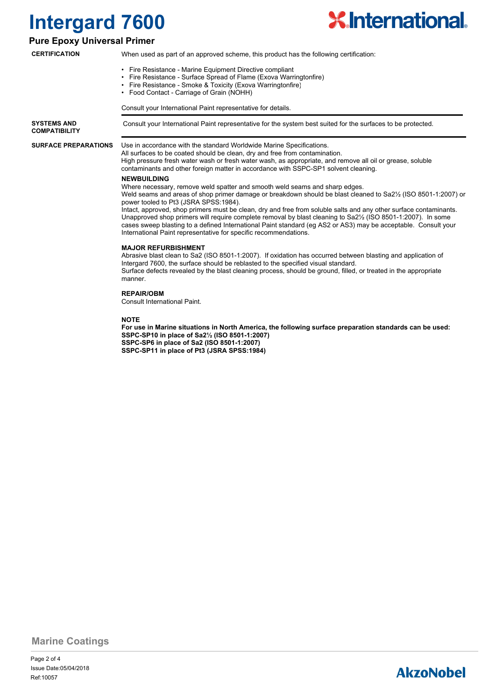

### **Pure Epoxy Universal Primer**

**CERTIFICATION**

- When used as part of an approved scheme, this product has the following certification:
- Fire Resistance Marine Equipment Directive compliant
- Fire Resistance Surface Spread of Flame (Exova Warringtonfire)
- Fire Resistance Smoke & Toxicity (Exova Warringtonfire)
- Food Contact Carriage of Grain (NOHH)

Consult your International Paint representative for details.

**SYSTEMS AND** Consult your International Paint representative for the system best suited for the surfaces to be protected. **COMPATIBILITY**

**SURFACE PREPARATIONS**

Use in accordance with the standard Worldwide Marine Specifications.

All surfaces to be coated should be clean, dry and free from contamination. High pressure fresh water wash or fresh water wash, as appropriate, and remove all oil or grease, soluble contaminants and other foreign matter in accordance with SSPC-SP1 solvent cleaning.

#### **NEWBUILDING**

Where necessary, remove weld spatter and smooth weld seams and sharp edges.

Weld seams and areas of shop primer damage or breakdown should be blast cleaned to Sa2½ (ISO 8501-1:2007) or power tooled to Pt3 (JSRA SPSS:1984).

Intact, approved, shop primers must be clean, dry and free from soluble salts and any other surface contaminants. Unapproved shop primers will require complete removal by blast cleaning to Sa2½ (ISO 8501-1:2007). In some cases sweep blasting to a defined International Paint standard (eg AS2 or AS3) may be acceptable. Consult your International Paint representative for specific recommendations.

#### **MAJOR REFURBISHMENT**

Abrasive blast clean to Sa2 (ISO 8501-1:2007). If oxidation has occurred between blasting and application of Intergard 7600, the surface should be reblasted to the specified visual standard. Surface defects revealed by the blast cleaning process, should be ground, filled, or treated in the appropriate manner.

#### **REPAIR/OBM**

Consult International Paint.

**NOTE**

**For use in Marine situations in North America, the following surface preparation standards can be used: SSPC-SP10 in place of Sa2½ (ISO 8501-1:2007) SSPC-SP6 in place of Sa2 (ISO 8501-1:2007) SSPC-SP11 in place of Pt3 (JSRA SPSS:1984)**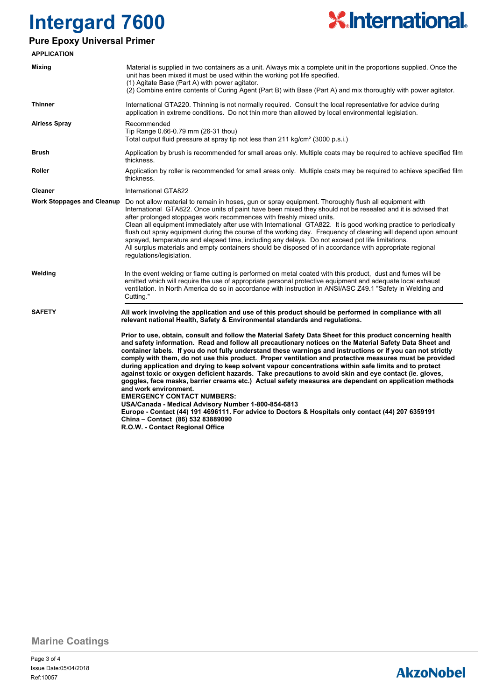

### **Pure Epoxy Universal Primer**

| <b>APPLICATION</b>                |                                                                                                                                                                                                                                                                                                                                                                                                                                                                                                                                                                                                                                                                                                                                                                                                                                                                                                                                                                                                                                                                                                                                                                                                                                                                        |
|-----------------------------------|------------------------------------------------------------------------------------------------------------------------------------------------------------------------------------------------------------------------------------------------------------------------------------------------------------------------------------------------------------------------------------------------------------------------------------------------------------------------------------------------------------------------------------------------------------------------------------------------------------------------------------------------------------------------------------------------------------------------------------------------------------------------------------------------------------------------------------------------------------------------------------------------------------------------------------------------------------------------------------------------------------------------------------------------------------------------------------------------------------------------------------------------------------------------------------------------------------------------------------------------------------------------|
| <b>Mixing</b>                     | Material is supplied in two containers as a unit. Always mix a complete unit in the proportions supplied. Once the<br>unit has been mixed it must be used within the working pot life specified.<br>(1) Agitate Base (Part A) with power agitator.<br>(2) Combine entire contents of Curing Agent (Part B) with Base (Part A) and mix thoroughly with power agitator.                                                                                                                                                                                                                                                                                                                                                                                                                                                                                                                                                                                                                                                                                                                                                                                                                                                                                                  |
| <b>Thinner</b>                    | International GTA220. Thinning is not normally required. Consult the local representative for advice during<br>application in extreme conditions. Do not thin more than allowed by local environmental legislation.                                                                                                                                                                                                                                                                                                                                                                                                                                                                                                                                                                                                                                                                                                                                                                                                                                                                                                                                                                                                                                                    |
| <b>Airless Spray</b>              | Recommended<br>Tip Range 0.66-0.79 mm (26-31 thou)<br>Total output fluid pressure at spray tip not less than 211 kg/cm <sup>2</sup> (3000 p.s.i.)                                                                                                                                                                                                                                                                                                                                                                                                                                                                                                                                                                                                                                                                                                                                                                                                                                                                                                                                                                                                                                                                                                                      |
| <b>Brush</b>                      | Application by brush is recommended for small areas only. Multiple coats may be required to achieve specified film<br>thickness.                                                                                                                                                                                                                                                                                                                                                                                                                                                                                                                                                                                                                                                                                                                                                                                                                                                                                                                                                                                                                                                                                                                                       |
| Roller                            | Application by roller is recommended for small areas only. Multiple coats may be required to achieve specified film<br>thickness.                                                                                                                                                                                                                                                                                                                                                                                                                                                                                                                                                                                                                                                                                                                                                                                                                                                                                                                                                                                                                                                                                                                                      |
| <b>Cleaner</b>                    | International GTA822                                                                                                                                                                                                                                                                                                                                                                                                                                                                                                                                                                                                                                                                                                                                                                                                                                                                                                                                                                                                                                                                                                                                                                                                                                                   |
| <b>Work Stoppages and Cleanup</b> | Do not allow material to remain in hoses, gun or spray equipment. Thoroughly flush all equipment with<br>International GTA822. Once units of paint have been mixed they should not be resealed and it is advised that<br>after prolonged stoppages work recommences with freshly mixed units.<br>Clean all equipment immediately after use with International GTA822. It is good working practice to periodically<br>flush out spray equipment during the course of the working day. Frequency of cleaning will depend upon amount<br>sprayed, temperature and elapsed time, including any delays. Do not exceed pot life limitations.<br>All surplus materials and empty containers should be disposed of in accordance with appropriate regional<br>regulations/legislation.                                                                                                                                                                                                                                                                                                                                                                                                                                                                                         |
| Welding                           | In the event welding or flame cutting is performed on metal coated with this product, dust and fumes will be<br>emitted which will require the use of appropriate personal protective equipment and adequate local exhaust<br>ventilation. In North America do so in accordance with instruction in ANSI/ASC Z49.1 "Safety in Welding and<br>Cutting."                                                                                                                                                                                                                                                                                                                                                                                                                                                                                                                                                                                                                                                                                                                                                                                                                                                                                                                 |
| <b>SAFETY</b>                     | All work involving the application and use of this product should be performed in compliance with all<br>relevant national Health, Safety & Environmental standards and regulations.<br>Prior to use, obtain, consult and follow the Material Safety Data Sheet for this product concerning health<br>and safety information. Read and follow all precautionary notices on the Material Safety Data Sheet and<br>container labels. If you do not fully understand these warnings and instructions or if you can not strictly<br>comply with them, do not use this product. Proper ventilation and protective measures must be provided<br>during application and drying to keep solvent vapour concentrations within safe limits and to protect<br>against toxic or oxygen deficient hazards. Take precautions to avoid skin and eye contact (ie. gloves,<br>goggles, face masks, barrier creams etc.) Actual safety measures are dependant on application methods<br>and work environment.<br><b>EMERGENCY CONTACT NUMBERS:</b><br>USA/Canada - Medical Advisory Number 1-800-854-6813<br>Europe - Contact (44) 191 4696111. For advice to Doctors & Hospitals only contact (44) 207 6359191<br>China - Contact (86) 532 83889090<br>R.O.W. - Contact Regional Office |

**Marine Coatings**